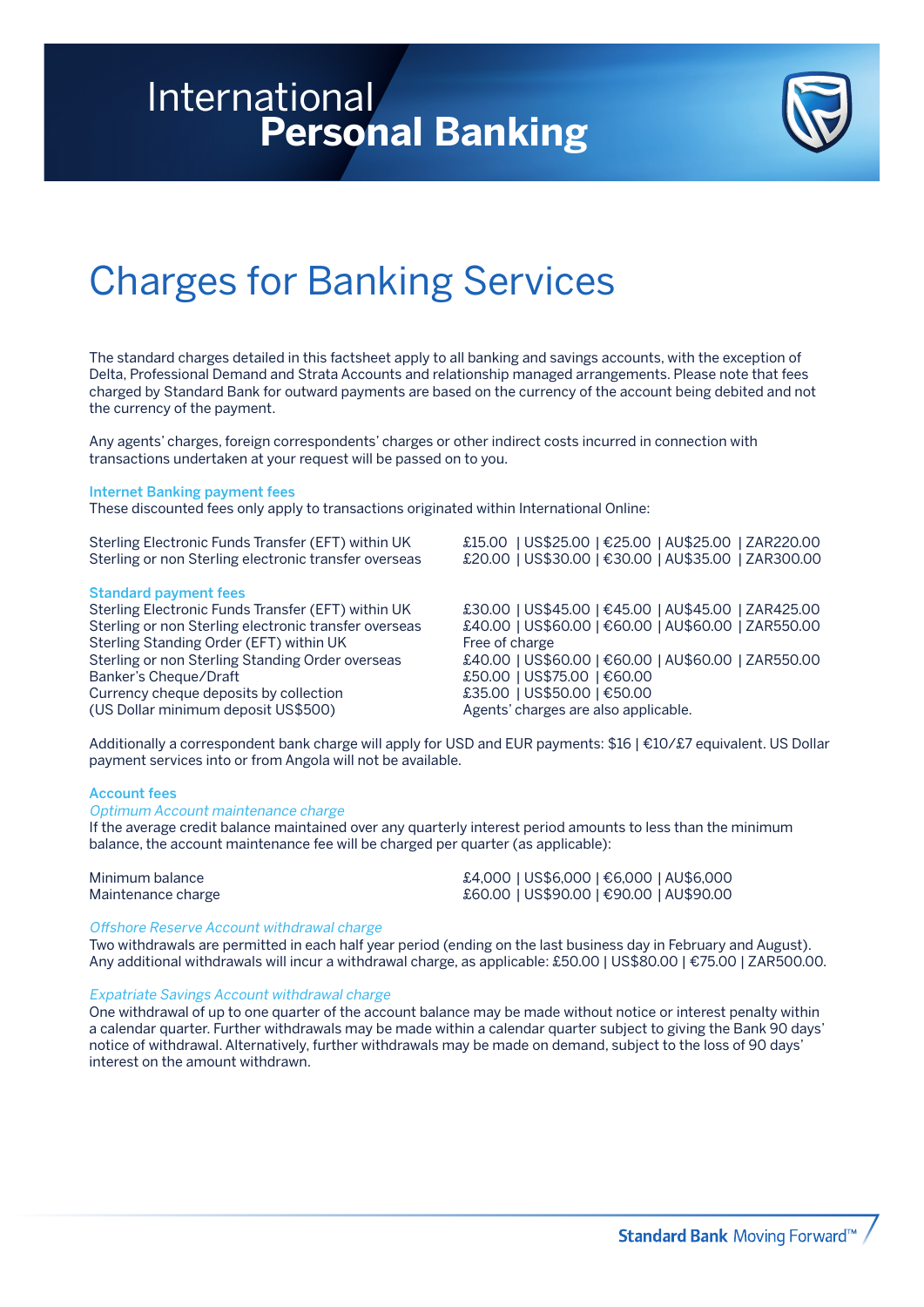### International **Personal Banking**



## Charges for Banking Services

The standard charges detailed in this factsheet apply to all banking and savings accounts, with the exception of Delta, Professional Demand and Strata Accounts and relationship managed arrangements. Please note that fees charged by Standard Bank for outward payments are based on the currency of the account being debited and not the currency of the payment.

Any agents' charges, foreign correspondents' charges or other indirect costs incurred in connection with transactions undertaken at your request will be passed on to you.

### Internet Banking payment fees

These discounted fees only apply to transactions originated within International Online:

### Standard payment fees

Sterling or non Sterling Standing Order overseas<br>Banker's Cheque/Draft Currency cheque deposits by collection  $\text{\pounds}35.00$  | US\$50.00 |  $\text{\pounds}50.00$ (US Dollar minimum deposit US\$500) Agents' charges are also applicable.

Sterling Electronic Funds Transfer (EFT) within UK £15.00 | US\$25.00 | €25.00 | AU\$25.00 | ZAR220.00 Sterling or non Sterling electronic transfer overseas £20.00 | US\$30.00 | €30.00 | AU\$35.00 | ZAR300.00

Sterling Electronic Funds Transfer (EFT) within UK £30.00 | US\$45.00 | €45.00 | AU\$45.00 | ZAR425.00 Sterling or non Sterling electronic transfer overseas £40.00 | US\$60.00 | €60.00 | AU\$60.00 | ZAR550.00 Sterling Standing Order (EFT) within UK Free of charge<br>Sterling or non Sterling Standing Order overseas £40.00 | US\$60.00 | €60.00 | AU\$60.00 | ZAR550.00 £50.00 | US\$75.00 | €60.00

Additionally a correspondent bank charge will apply for USD and EUR payments: \$16 | €10/£7 equivalent. US Dollar payment services into or from Angola will not be available.

### Account fees

### Optimum Account maintenance charge

If the average credit balance maintained over any quarterly interest period amounts to less than the minimum balance, the account maintenance fee will be charged per quarter (as applicable):

| Minimum balance    | £4,000   US\$6,000   €6,000   AU\$6,000 |
|--------------------|-----------------------------------------|
| Maintenance charge | £60.00   US\$90.00   €90.00   AU\$90.00 |

### Offshore Reserve Account withdrawal charge

Two withdrawals are permitted in each half year period (ending on the last business day in February and August). Any additional withdrawals will incur a withdrawal charge, as applicable: £50.00 | US\$80.00 | €75.00 | ZAR500.00.

### Expatriate Savings Account withdrawal charge

One withdrawal of up to one quarter of the account balance may be made without notice or interest penalty within a calendar quarter. Further withdrawals may be made within a calendar quarter subject to giving the Bank 90 days' notice of withdrawal. Alternatively, further withdrawals may be made on demand, subject to the loss of 90 days' interest on the amount withdrawn.